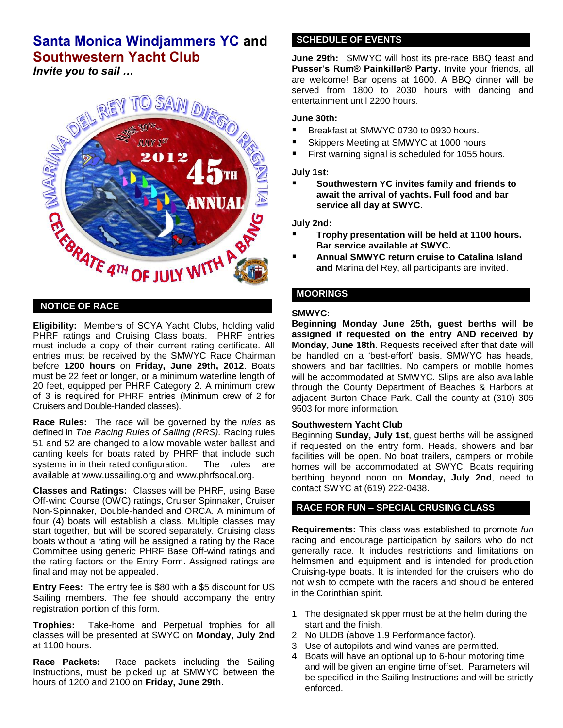# **Santa Monica Windjammers YC and Southwestern Yacht Club**

*Invite you to sail …*



## **NOTICE OF RACE**

**Eligibility:** Members of SCYA Yacht Clubs, holding valid PHRF ratings and Cruising Class boats. PHRF entries must include a copy of their current rating certificate. All entries must be received by the SMWYC Race Chairman before **1200 hours** on **Friday, June 29th, 2012**. Boats must be 22 feet or longer, or a minimum waterline length of 20 feet, equipped per PHRF Category 2. A minimum crew of 3 is required for PHRF entries (Minimum crew of 2 for Cruisers and Double-Handed classes).

**Race Rules:** The race will be governed by the *rules* as defined in *The Racing Rules of Sailing (RRS).* Racing rules 51 and 52 are changed to allow movable water ballast and canting keels for boats rated by PHRF that include such systems in in their rated configuration. The *r*ules are available at www.ussailing.org and www.phrfsocal.org.

**Classes and Ratings:** Classes will be PHRF, using Base Off-wind Course (OWC) ratings, Cruiser Spinnaker, Cruiser Non-Spinnaker, Double-handed and ORCA. A minimum of four (4) boats will establish a class. Multiple classes may start together, but will be scored separately. Cruising class boats without a rating will be assigned a rating by the Race Committee using generic PHRF Base Off-wind ratings and the rating factors on the Entry Form. Assigned ratings are final and may not be appealed.

**Entry Fees:** The entry fee is \$80 with a \$5 discount for US Sailing members. The fee should accompany the entry registration portion of this form.

**Trophies:** Take-home and Perpetual trophies for all classes will be presented at SWYC on **Monday, July 2nd** at 1100 hours.

**Race Packets:** Race packets including the Sailing Instructions, must be picked up at SMWYC between the hours of 1200 and 2100 on **Friday, June 29th**.

## **SCHEDULE OF EVENTS**

**June 29th:** SMWYC will host its pre-race BBQ feast and **Pusser's Rum® Painkiller® Party.** Invite your friends, all are welcome! Bar opens at 1600. A BBQ dinner will be served from 1800 to 2030 hours with dancing and entertainment until 2200 hours.

#### **June 30th:**

- Breakfast at SMWYC 0730 to 0930 hours.
- Skippers Meeting at SMWYC at 1000 hours
- First warning signal is scheduled for 1055 hours.

**July 1st:**

 **Southwestern YC invites family and friends to await the arrival of yachts. Full food and bar service all day at SWYC.**

**July 2nd:**

- **Trophy presentation will be held at 1100 hours. Bar service available at SWYC.**
- **Annual SMWYC return cruise to Catalina Island and** Marina del Rey, all participants are invited.

## **MOORINGS**

#### **SMWYC:**

**Beginning Monday June 25th, guest berths will be assigned if requested on the entry AND received by Monday, June 18th.** Requests received after that date will be handled on a 'best-effort' basis. SMWYC has heads, showers and bar facilities. No campers or mobile homes will be accommodated at SMWYC. Slips are also available through the County Department of Beaches & Harbors at adjacent Burton Chace Park. Call the county at (310) 305 9503 for more information.

#### **Southwestern Yacht Club**

Beginning **Sunday, July 1st**, guest berths will be assigned if requested on the entry form. Heads, showers and bar facilities will be open. No boat trailers, campers or mobile homes will be accommodated at SWYC. Boats requiring berthing beyond noon on **Monday, July 2nd**, need to contact SWYC at (619) 222-0438.

## **RACE FOR FUN – SPECIAL CRUSING CLASS**

**Requirements:** This class was established to promote *fun*  racing and encourage participation by sailors who do not generally race. It includes restrictions and limitations on helmsmen and equipment and is intended for production Cruising-type boats. It is intended for the cruisers who do not wish to compete with the racers and should be entered in the Corinthian spirit.

- 1. The designated skipper must be at the helm during the start and the finish.
- 2. No ULDB (above 1.9 Performance factor).
- 3. Use of autopilots and wind vanes are permitted.
- 4. Boats will have an optional up to 6-hour motoring time and will be given an engine time offset. Parameters will be specified in the Sailing Instructions and will be strictly enforced.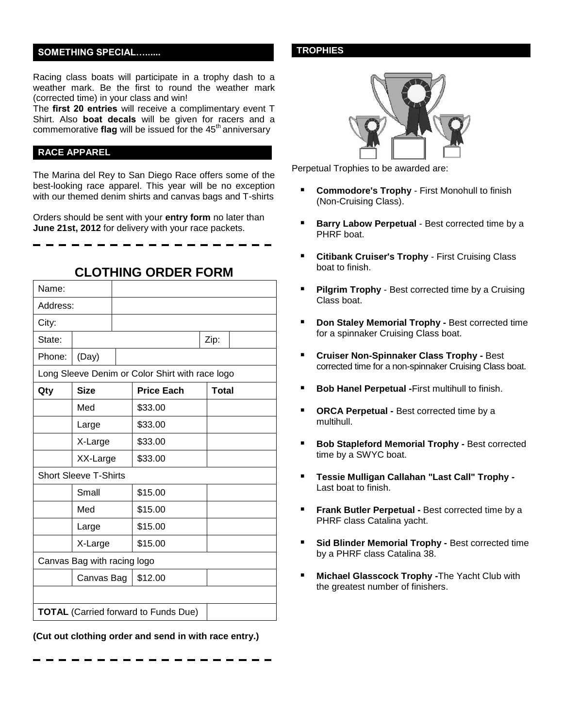#### **SOMETHING SPECIAL…......**

Racing class boats will participate in a trophy dash to a weather mark. Be the first to round the weather mark (corrected time) in your class and win!

The **first 20 entries** will receive a complimentary event T Shirt. Also **boat decals** will be given for racers and a commemorative **flag** will be issued for the 45<sup>th</sup> anniversary

#### **RACE APPAREL**

The Marina del Rey to San Diego Race offers some of the best-looking race apparel. This year will be no exception with our themed denim shirts and canvas bags and T-shirts

Orders should be sent with your **entry form** no later than **June 21st, 2012** for delivery with your race packets.

| Name:                                       |                              |  |                                                 |              |  |
|---------------------------------------------|------------------------------|--|-------------------------------------------------|--------------|--|
| Address:                                    |                              |  |                                                 |              |  |
| City:                                       |                              |  |                                                 |              |  |
| State:                                      |                              |  |                                                 | Zip:         |  |
| Phone:                                      | (Day)                        |  |                                                 |              |  |
|                                             |                              |  | Long Sleeve Denim or Color Shirt with race logo |              |  |
| Qty                                         | <b>Size</b>                  |  | <b>Price Each</b>                               | <b>Total</b> |  |
|                                             | Med                          |  | \$33.00                                         |              |  |
|                                             | Large                        |  | \$33.00                                         |              |  |
|                                             | X-Large                      |  | \$33.00                                         |              |  |
|                                             | XX-Large                     |  | \$33.00                                         |              |  |
|                                             | <b>Short Sleeve T-Shirts</b> |  |                                                 |              |  |
|                                             | Small                        |  | \$15.00                                         |              |  |
|                                             | Med                          |  | \$15.00                                         |              |  |
|                                             | Large                        |  | \$15.00                                         |              |  |
|                                             | X-Large                      |  | \$15.00                                         |              |  |
|                                             | Canvas Bag with racing logo  |  |                                                 |              |  |
|                                             | Canvas Bag                   |  | \$12.00                                         |              |  |
|                                             |                              |  |                                                 |              |  |
| <b>TOTAL</b> (Carried forward to Funds Due) |                              |  |                                                 |              |  |

#### **CLOTHING ORDER FORM**

**(Cut out clothing order and send in with race entry.)**

#### **TROPHIES**



Perpetual Trophies to be awarded are:

- **Commodore's Trophy** First Monohull to finish (Non-Cruising Class).
- **Barry Labow Perpetual** Best corrected time by a PHRF boat.
- **Citibank Cruiser's Trophy** First Cruising Class boat to finish.
- **Pilgrim Trophy**  Best corrected time by a Cruising Class boat.
- **Don Staley Memorial Trophy -** Best corrected time for a spinnaker Cruising Class boat.
- **Cruiser Non-Spinnaker Class Trophy -** Best corrected time for a non-spinnaker Cruising Class boat.
- **Bob Hanel Perpetual -**First multihull to finish.
- **ORCA Perpetual -** Best corrected time by a multihull.
- **Bob Stapleford Memorial Trophy -** Best corrected time by a SWYC boat.
- **Tessie Mulligan Callahan "Last Call" Trophy -** Last boat to finish.
- **Frank Butler Perpetual -** Best corrected time by a PHRF class Catalina yacht.
- **Sid Blinder Memorial Trophy -** Best corrected time by a PHRF class Catalina 38.
- **Michael Glasscock Trophy -**The Yacht Club with the greatest number of finishers.